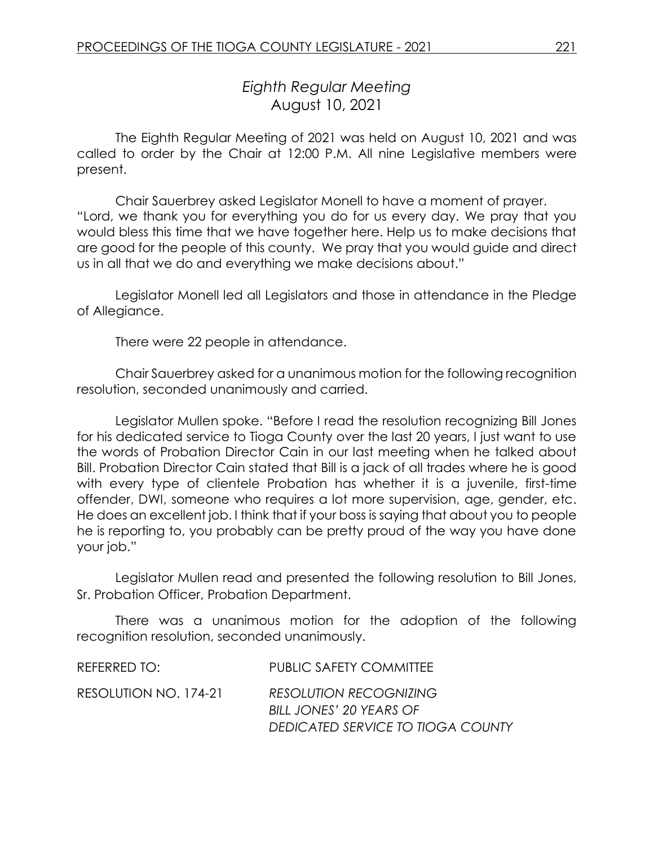## *Eighth Regular Meeting* August 10, 2021

The Eighth Regular Meeting of 2021 was held on August 10, 2021 and was called to order by the Chair at 12:00 P.M. All nine Legislative members were present.

Chair Sauerbrey asked Legislator Monell to have a moment of prayer. "Lord, we thank you for everything you do for us every day. We pray that you would bless this time that we have together here. Help us to make decisions that are good for the people of this county. We pray that you would guide and direct us in all that we do and everything we make decisions about."

Legislator Monell led all Legislators and those in attendance in the Pledge of Allegiance.

There were 22 people in attendance.

Chair Sauerbrey asked for a unanimous motion for the following recognition resolution, seconded unanimously and carried.

Legislator Mullen spoke. "Before I read the resolution recognizing Bill Jones for his dedicated service to Tioga County over the last 20 years, I just want to use the words of Probation Director Cain in our last meeting when he talked about Bill. Probation Director Cain stated that Bill is a jack of all trades where he is good with every type of clientele Probation has whether it is a juvenile, first-time offender, DWI, someone who requires a lot more supervision, age, gender, etc. He does an excellent job. I think that if your boss is saying that about you to people he is reporting to, you probably can be pretty proud of the way you have done your job."

Legislator Mullen read and presented the following resolution to Bill Jones, Sr. Probation Officer, Probation Department.

There was a unanimous motion for the adoption of the following recognition resolution, seconded unanimously.

| REFERRED TO: I        | PUBLIC SAFETY COMMITTEE                                  |
|-----------------------|----------------------------------------------------------|
| RESOLUTION NO. 174-21 | <b>RESOLUTION RECOGNIZING</b><br>BILL JONES' 20 YEARS OF |
|                       | DEDICATED SERVICE TO TIOGA COUNTY                        |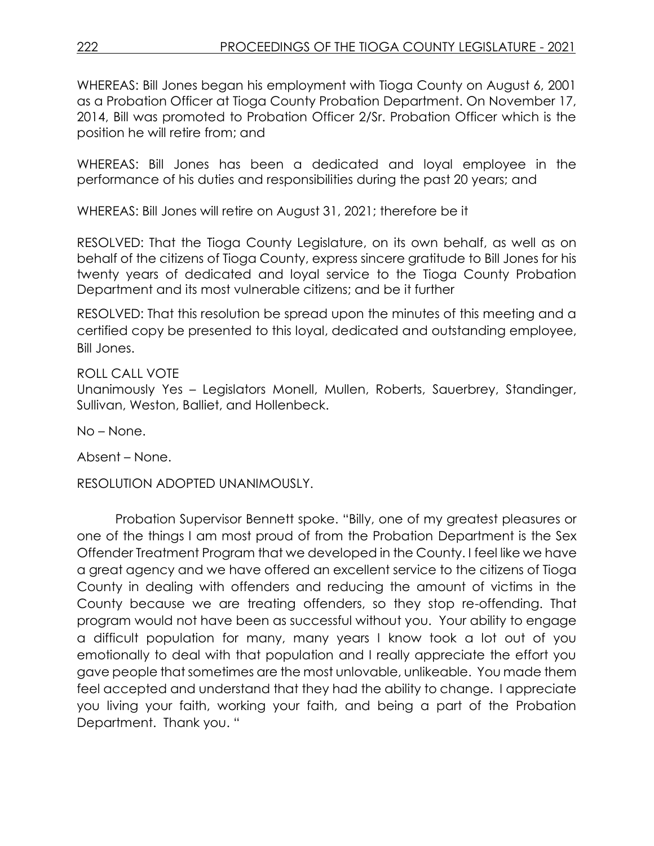WHEREAS: Bill Jones began his employment with Tioga County on August 6, 2001 as a Probation Officer at Tioga County Probation Department. On November 17, 2014, Bill was promoted to Probation Officer 2/Sr. Probation Officer which is the position he will retire from; and

WHEREAS: Bill Jones has been a dedicated and loyal employee in the performance of his duties and responsibilities during the past 20 years; and

WHEREAS: Bill Jones will retire on August 31, 2021; therefore be it

RESOLVED: That the Tioga County Legislature, on its own behalf, as well as on behalf of the citizens of Tioga County, express sincere gratitude to Bill Jones for his twenty years of dedicated and loyal service to the Tioga County Probation Department and its most vulnerable citizens; and be it further

RESOLVED: That this resolution be spread upon the minutes of this meeting and a certified copy be presented to this loyal, dedicated and outstanding employee, Bill Jones.

ROLL CALL VOTE Unanimously Yes – Legislators Monell, Mullen, Roberts, Sauerbrey, Standinger, Sullivan, Weston, Balliet, and Hollenbeck.

No – None.

Absent – None.

RESOLUTION ADOPTED UNANIMOUSLY.

Probation Supervisor Bennett spoke. "Billy, one of my greatest pleasures or one of the things I am most proud of from the Probation Department is the Sex Offender Treatment Program that we developed in the County. I feel like we have a great agency and we have offered an excellent service to the citizens of Tioga County in dealing with offenders and reducing the amount of victims in the County because we are treating offenders, so they stop re-offending. That program would not have been as successful without you. Your ability to engage a difficult population for many, many years I know took a lot out of you emotionally to deal with that population and I really appreciate the effort you gave people that sometimes are the most unlovable, unlikeable. You made them feel accepted and understand that they had the ability to change. I appreciate you living your faith, working your faith, and being a part of the Probation Department. Thank you. "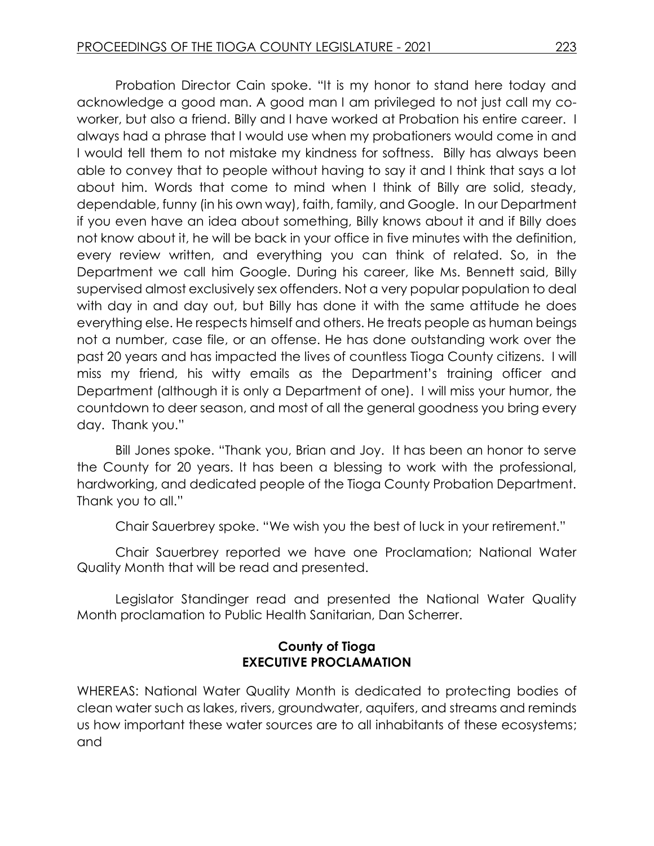Probation Director Cain spoke. "It is my honor to stand here today and acknowledge a good man. A good man I am privileged to not just call my coworker, but also a friend. Billy and I have worked at Probation his entire career. I always had a phrase that I would use when my probationers would come in and I would tell them to not mistake my kindness for softness. Billy has always been able to convey that to people without having to say it and I think that says a lot about him. Words that come to mind when I think of Billy are solid, steady, dependable, funny (in his own way), faith, family, and Google. In our Department if you even have an idea about something, Billy knows about it and if Billy does not know about it, he will be back in your office in five minutes with the definition, every review written, and everything you can think of related. So, in the Department we call him Google. During his career, like Ms. Bennett said, Billy supervised almost exclusively sex offenders. Not a very popular population to deal with day in and day out, but Billy has done it with the same attitude he does everything else. He respects himself and others. He treats people as human beings not a number, case file, or an offense. He has done outstanding work over the past 20 years and has impacted the lives of countless Tioga County citizens. I will miss my friend, his witty emails as the Department's training officer and Department (although it is only a Department of one). I will miss your humor, the countdown to deer season, and most of all the general goodness you bring every day. Thank you."

Bill Jones spoke. "Thank you, Brian and Joy. It has been an honor to serve the County for 20 years. It has been a blessing to work with the professional, hardworking, and dedicated people of the Tioga County Probation Department. Thank you to all."

Chair Sauerbrey spoke. "We wish you the best of luck in your retirement."

Chair Sauerbrey reported we have one Proclamation; National Water Quality Month that will be read and presented.

Legislator Standinger read and presented the National Water Quality Month proclamation to Public Health Sanitarian, Dan Scherrer.

## **County of Tioga EXECUTIVE PROCLAMATION**

WHEREAS: National Water Quality Month is dedicated to protecting bodies of clean water such as lakes, rivers, groundwater, aquifers, and streams and reminds us how important these water sources are to all inhabitants of these ecosystems; and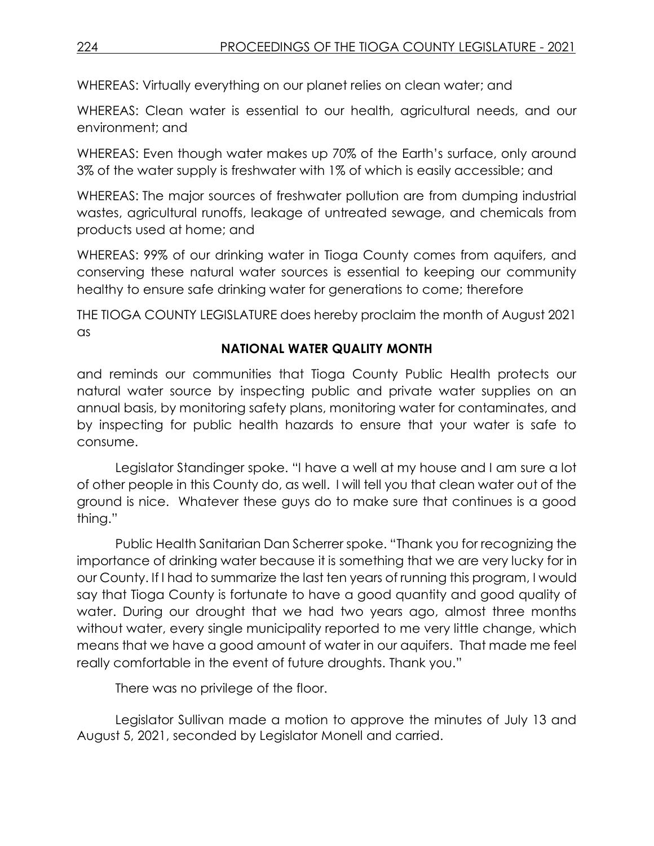WHEREAS: Virtually everything on our planet relies on clean water; and

WHEREAS: Clean water is essential to our health, agricultural needs, and our environment; and

WHEREAS: Even though water makes up 70% of the Earth's surface, only around 3% of the water supply is freshwater with 1% of which is easily accessible; and

WHEREAS: The major sources of freshwater pollution are from dumping industrial wastes, agricultural runoffs, leakage of untreated sewage, and chemicals from products used at home; and

WHEREAS: 99% of our drinking water in Tioga County comes from aquifers, and conserving these natural water sources is essential to keeping our community healthy to ensure safe drinking water for generations to come; therefore

THE TIOGA COUNTY LEGISLATURE does hereby proclaim the month of August 2021 as

## **NATIONAL WATER QUALITY MONTH**

and reminds our communities that Tioga County Public Health protects our natural water source by inspecting public and private water supplies on an annual basis, by monitoring safety plans, monitoring water for contaminates, and by inspecting for public health hazards to ensure that your water is safe to consume.

Legislator Standinger spoke. "I have a well at my house and I am sure a lot of other people in this County do, as well. I will tell you that clean water out of the ground is nice. Whatever these guys do to make sure that continues is a good thing."

Public Health Sanitarian Dan Scherrer spoke. "Thank you for recognizing the importance of drinking water because it is something that we are very lucky for in our County. If I had to summarize the last ten years of running this program, I would say that Tioga County is fortunate to have a good quantity and good quality of water. During our drought that we had two years ago, almost three months without water, every single municipality reported to me very little change, which means that we have a good amount of water in our aquifers. That made me feel really comfortable in the event of future droughts. Thank you."

There was no privilege of the floor.

Legislator Sullivan made a motion to approve the minutes of July 13 and August 5, 2021, seconded by Legislator Monell and carried.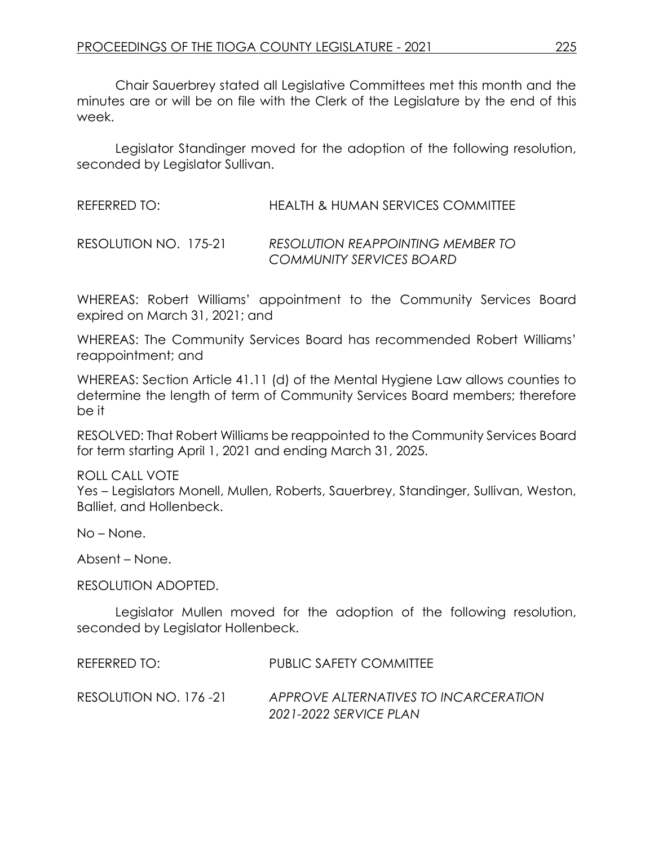Chair Sauerbrey stated all Legislative Committees met this month and the minutes are or will be on file with the Clerk of the Legislature by the end of this week.

Legislator Standinger moved for the adoption of the following resolution, seconded by Legislator Sullivan.

REFERRED TO: HEALTH & HUMAN SERVICES COMMITTEE

RESOLUTION NO. 175-21 *RESOLUTION REAPPOINTING MEMBER TO COMMUNITY SERVICES BOARD*

WHEREAS: Robert Williams' appointment to the Community Services Board expired on March 31, 2021; and

WHEREAS: The Community Services Board has recommended Robert Williams' reappointment; and

WHEREAS: Section Article 41.11 (d) of the Mental Hygiene Law allows counties to determine the length of term of Community Services Board members; therefore be it

RESOLVED: That Robert Williams be reappointed to the Community Services Board for term starting April 1, 2021 and ending March 31, 2025.

ROLL CALL VOTE Yes – Legislators Monell, Mullen, Roberts, Sauerbrey, Standinger, Sullivan, Weston, Balliet, and Hollenbeck.

No – None.

Absent – None.

RESOLUTION ADOPTED.

Legislator Mullen moved for the adoption of the following resolution, seconded by Legislator Hollenbeck.

| REFERRED TO:           | PUBLIC SAFETY COMMITTEE                                         |
|------------------------|-----------------------------------------------------------------|
| RESOLUTION NO. 176 -21 | APPROVE ALTERNATIVES TO INCARCERATION<br>2021-2022 SERVICE PLAN |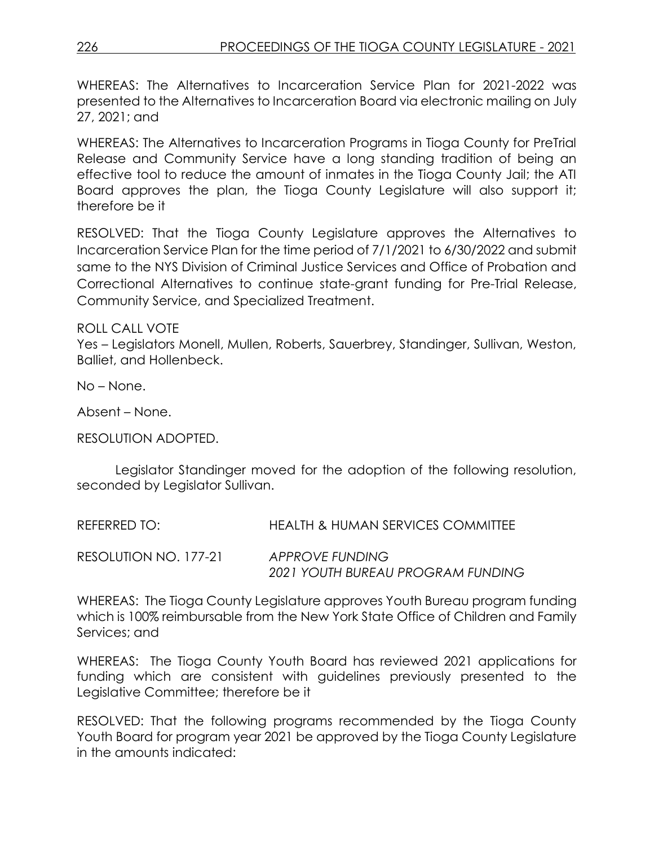WHEREAS: The Alternatives to Incarceration Service Plan for 2021-2022 was presented to the Alternatives to Incarceration Board via electronic mailing on July 27, 2021; and

WHEREAS: The Alternatives to Incarceration Programs in Tioga County for PreTrial Release and Community Service have a long standing tradition of being an effective tool to reduce the amount of inmates in the Tioga County Jail; the ATI Board approves the plan, the Tioga County Legislature will also support it; therefore be it

RESOLVED: That the Tioga County Legislature approves the Alternatives to Incarceration Service Plan for the time period of 7/1/2021 to 6/30/2022 and submit same to the NYS Division of Criminal Justice Services and Office of Probation and Correctional Alternatives to continue state-grant funding for Pre-Trial Release, Community Service, and Specialized Treatment.

ROLL CALL VOTE

Yes – Legislators Monell, Mullen, Roberts, Sauerbrey, Standinger, Sullivan, Weston, Balliet, and Hollenbeck.

No – None.

Absent – None.

RESOLUTION ADOPTED.

Legislator Standinger moved for the adoption of the following resolution, seconded by Legislator Sullivan.

REFERRED TO: HEALTH & HUMAN SERVICES COMMITTEE RESOLUTION NO. 177-21 *APPROVE FUNDING 2021 YOUTH BUREAU PROGRAM FUNDING*

WHEREAS: The Tioga County Legislature approves Youth Bureau program funding which is 100% reimbursable from the New York State Office of Children and Family Services; and

WHEREAS: The Tioga County Youth Board has reviewed 2021 applications for funding which are consistent with guidelines previously presented to the Legislative Committee; therefore be it

RESOLVED: That the following programs recommended by the Tioga County Youth Board for program year 2021 be approved by the Tioga County Legislature in the amounts indicated: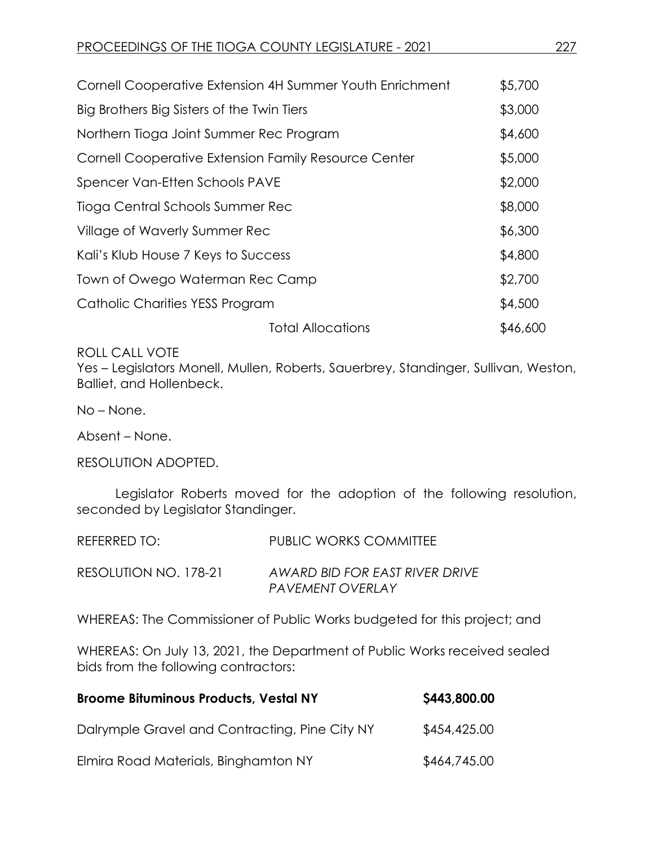| Cornell Cooperative Extension 4H Summer Youth Enrichment | \$5,700  |
|----------------------------------------------------------|----------|
| Big Brothers Big Sisters of the Twin Tiers               | \$3,000  |
| Northern Tioga Joint Summer Rec Program                  | \$4,600  |
| Cornell Cooperative Extension Family Resource Center     | \$5,000  |
| Spencer Van-Etten Schools PAVE                           | \$2,000  |
| Tioga Central Schools Summer Rec                         | \$8,000  |
| Village of Waverly Summer Rec                            | \$6,300  |
| Kali's Klub House 7 Keys to Success                      | \$4,800  |
| Town of Owego Waterman Rec Camp                          | \$2,700  |
| Catholic Charities YESS Program                          | \$4,500  |
| <b>Total Allocations</b>                                 | \$46,600 |

ROLL CALL VOTE

Yes – Legislators Monell, Mullen, Roberts, Sauerbrey, Standinger, Sullivan, Weston, Balliet, and Hollenbeck.

No – None.

Absent – None.

RESOLUTION ADOPTED.

Legislator Roberts moved for the adoption of the following resolution, seconded by Legislator Standinger.

| REFERRED TO:          | PUBLIC WORKS COMMITTEE                             |
|-----------------------|----------------------------------------------------|
| RESOLUTION NO. 178-21 | AWARD BID FOR EAST RIVER DRIVE<br>PAVEMENT OVERLAY |

WHEREAS: The Commissioner of Public Works budgeted for this project; and

WHEREAS: On July 13, 2021, the Department of Public Works received sealed bids from the following contractors:

| <b>Broome Bituminous Products, Vestal NY</b>   | \$443,800.00 |
|------------------------------------------------|--------------|
| Dalrymple Gravel and Contracting, Pine City NY | \$454,425.00 |
| Elmira Road Materials, Binghamton NY           | \$464,745.00 |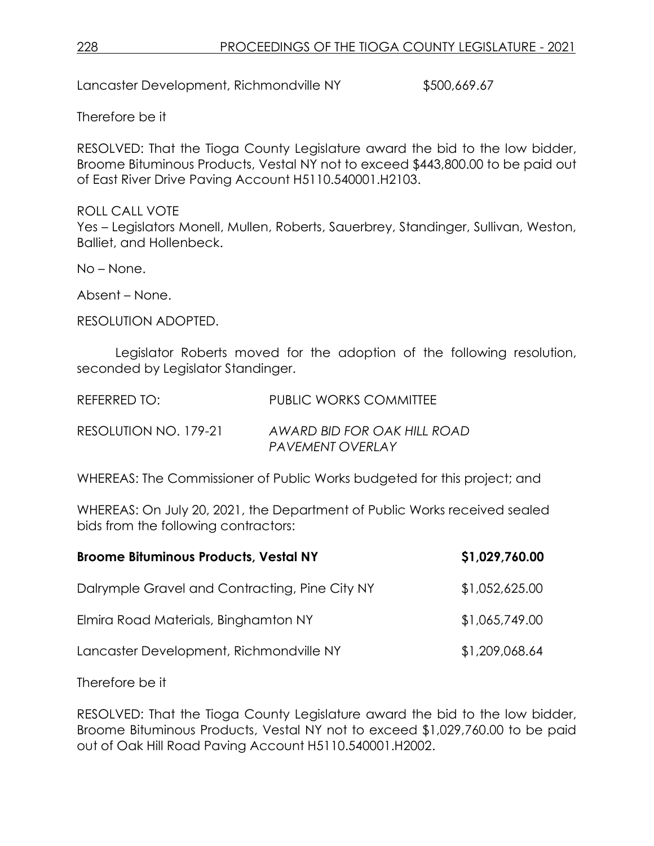Lancaster Development, Richmondville NY  $$500,669.67$ 

Therefore be it

RESOLVED: That the Tioga County Legislature award the bid to the low bidder, Broome Bituminous Products, Vestal NY not to exceed \$443,800.00 to be paid out of East River Drive Paving Account H5110.540001.H2103.

ROLL CALL VOTE Yes – Legislators Monell, Mullen, Roberts, Sauerbrey, Standinger, Sullivan, Weston, Balliet, and Hollenbeck.

No – None.

Absent – None.

RESOLUTION ADOPTED.

Legislator Roberts moved for the adoption of the following resolution, seconded by Legislator Standinger.

| REFERRED TO:          | PUBLIC WORKS COMMITTEE                          |
|-----------------------|-------------------------------------------------|
| RESOLUTION NO. 179-21 | AWARD BID FOR OAK HILL ROAD<br>PAVEMENT OVERLAY |

WHEREAS: The Commissioner of Public Works budgeted for this project; and

WHEREAS: On July 20, 2021, the Department of Public Works received sealed bids from the following contractors:

| <b>Broome Bituminous Products, Vestal NY</b>   | \$1,029,760.00 |
|------------------------------------------------|----------------|
| Dalrymple Gravel and Contracting, Pine City NY | \$1,052,625.00 |
| Elmira Road Materials, Binghamton NY           | \$1,065,749.00 |
| Lancaster Development, Richmondville NY        | \$1,209,068.64 |

Therefore be it

RESOLVED: That the Tioga County Legislature award the bid to the low bidder, Broome Bituminous Products, Vestal NY not to exceed \$1,029,760.00 to be paid out of Oak Hill Road Paving Account H5110.540001.H2002.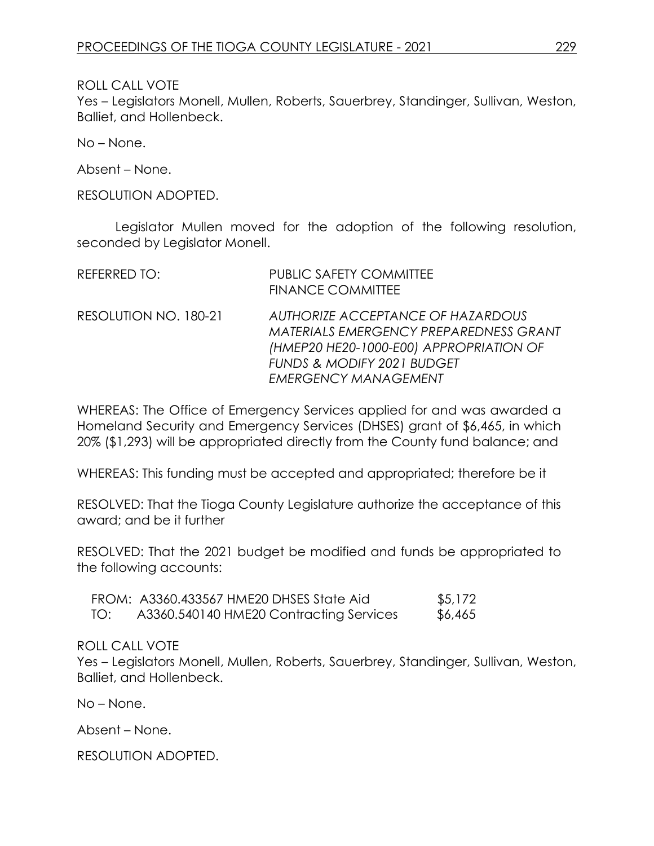ROLL CALL VOTE

Yes – Legislators Monell, Mullen, Roberts, Sauerbrey, Standinger, Sullivan, Weston, Balliet, and Hollenbeck.

No – None.

Absent – None.

RESOLUTION ADOPTED.

Legislator Mullen moved for the adoption of the following resolution, seconded by Legislator Monell.

| REFERRED TO:          | <b>PUBLIC SAFETY COMMITTEE</b><br><b>FINANCE COMMITTEE</b>                                                                                                                                            |
|-----------------------|-------------------------------------------------------------------------------------------------------------------------------------------------------------------------------------------------------|
| RESOLUTION NO. 180-21 | AUTHORIZE ACCEPTANCE OF HAZARDOUS<br><b>MATERIALS EMERGENCY PREPAREDNESS GRANT</b><br>(HMEP20 HE20-1000-E00) APPROPRIATION OF<br><b>FUNDS &amp; MODIFY 2021 BUDGET</b><br><b>EMERGENCY MANAGEMENT</b> |

WHEREAS: The Office of Emergency Services applied for and was awarded a Homeland Security and Emergency Services (DHSES) grant of \$6,465, in which 20% (\$1,293) will be appropriated directly from the County fund balance; and

WHEREAS: This funding must be accepted and appropriated; therefore be it

RESOLVED: That the Tioga County Legislature authorize the acceptance of this award; and be it further

RESOLVED: That the 2021 budget be modified and funds be appropriated to the following accounts:

|                  | FROM: A3360.433567 HME20 DHSES State Aid | \$5,172 |
|------------------|------------------------------------------|---------|
| $\overline{O}$ : | A3360.540140 HME20 Contracting Services  | \$6,465 |

## ROLL CALL VOTE

Yes – Legislators Monell, Mullen, Roberts, Sauerbrey, Standinger, Sullivan, Weston, Balliet, and Hollenbeck.

No – None.

Absent – None.

RESOLUTION ADOPTED.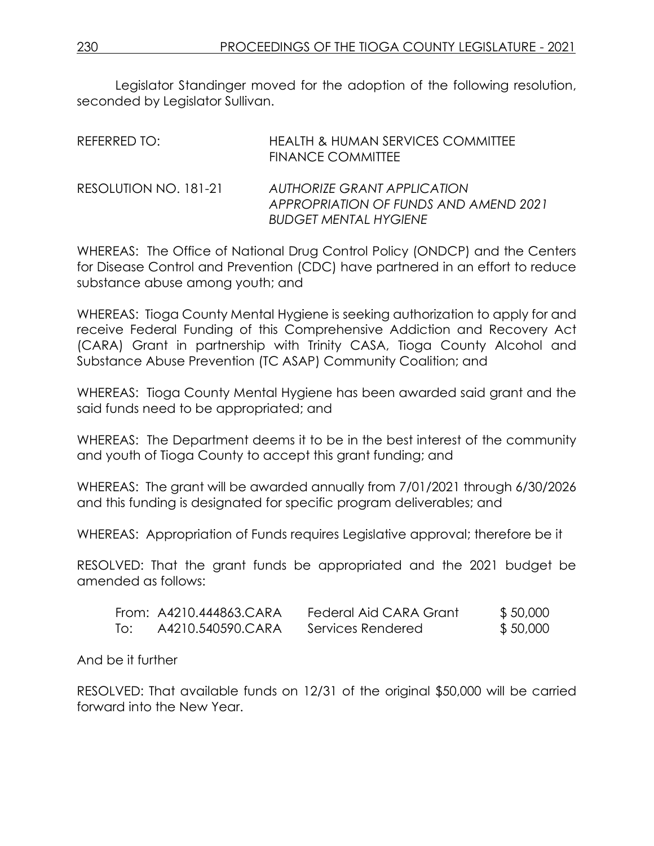Legislator Standinger moved for the adoption of the following resolution, seconded by Legislator Sullivan.

| REFERRED TO:          | <b>HEALTH &amp; HUMAN SERVICES COMMITTEE</b><br><b>FINANCE COMMITTEE</b>                                    |
|-----------------------|-------------------------------------------------------------------------------------------------------------|
| RESOLUTION NO. 181-21 | <b>AUTHORIZE GRANT APPLICATION</b><br>APPROPRIATION OF FUNDS AND AMEND 2021<br><b>BUDGET MENTAL HYGIENE</b> |

WHEREAS: The Office of National Drug Control Policy (ONDCP) and the Centers for Disease Control and Prevention (CDC) have partnered in an effort to reduce substance abuse among youth; and

WHEREAS: Tioga County Mental Hygiene is seeking authorization to apply for and receive Federal Funding of this Comprehensive Addiction and Recovery Act (CARA) Grant in partnership with Trinity CASA, Tioga County Alcohol and Substance Abuse Prevention (TC ASAP) Community Coalition; and

WHEREAS: Tioga County Mental Hygiene has been awarded said grant and the said funds need to be appropriated; and

WHEREAS: The Department deems it to be in the best interest of the community and youth of Tioga County to accept this grant funding; and

WHEREAS: The grant will be awarded annually from 7/01/2021 through 6/30/2026 and this funding is designated for specific program deliverables; and

WHEREAS: Appropriation of Funds requires Legislative approval; therefore be it

RESOLVED: That the grant funds be appropriated and the 2021 budget be amended as follows:

|     | From: A4210.444863.CARA | Federal Aid CARA Grant | \$50,000 |
|-----|-------------------------|------------------------|----------|
| To: | A4210.540590.CARA       | Services Rendered      | \$50,000 |

And be it further

RESOLVED: That available funds on 12/31 of the original \$50,000 will be carried forward into the New Year.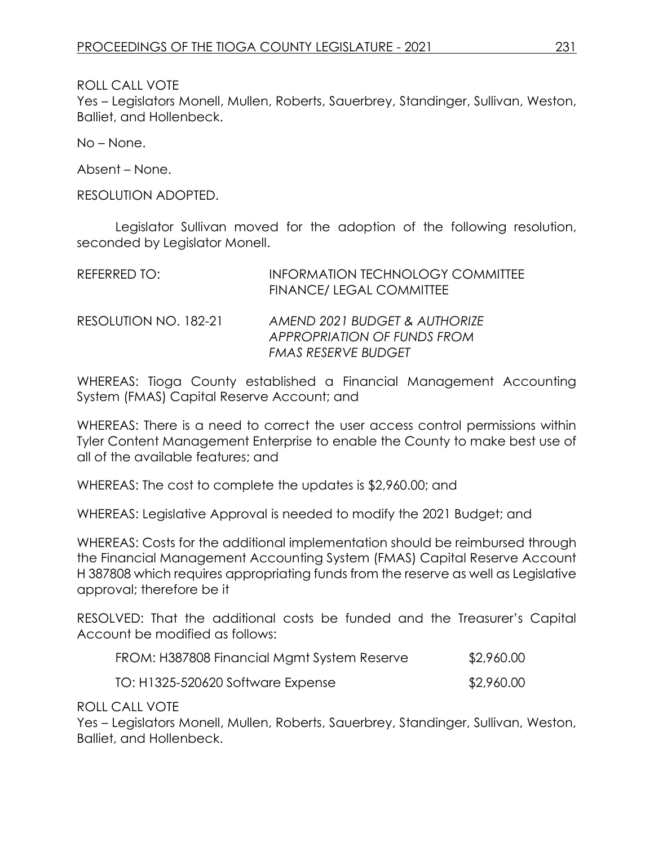ROLL CALL VOTE

Yes – Legislators Monell, Mullen, Roberts, Sauerbrey, Standinger, Sullivan, Weston, Balliet, and Hollenbeck.

No – None.

Absent – None.

RESOLUTION ADOPTED.

Legislator Sullivan moved for the adoption of the following resolution, seconded by Legislator Monell.

| REFERRED TO:          | <b>INFORMATION TECHNOLOGY COMMITTEE</b><br><b>FINANCE/ LEGAL COMMITTEE</b>                        |
|-----------------------|---------------------------------------------------------------------------------------------------|
| RESOLUTION NO. 182-21 | AMEND 2021 BUDGET & AUTHORIZE<br><b>APPROPRIATION OF FUNDS FROM</b><br><b>FMAS RESERVE BUDGET</b> |

WHEREAS: Tioga County established a Financial Management Accounting System (FMAS) Capital Reserve Account; and

WHEREAS: There is a need to correct the user access control permissions within Tyler Content Management Enterprise to enable the County to make best use of all of the available features; and

WHEREAS: The cost to complete the updates is \$2,960.00; and

WHEREAS: Legislative Approval is needed to modify the 2021 Budget; and

WHEREAS: Costs for the additional implementation should be reimbursed through the Financial Management Accounting System (FMAS) Capital Reserve Account H 387808 which requires appropriating funds from the reserve as well as Legislative approval; therefore be it

RESOLVED: That the additional costs be funded and the Treasurer's Capital Account be modified as follows:

| FROM: H387808 Financial Mamt System Reserve | \$2,960.00 |
|---------------------------------------------|------------|
| TO: H1325-520620 Software Expense           | \$2,960.00 |

ROLL CALL VOTE

Yes – Legislators Monell, Mullen, Roberts, Sauerbrey, Standinger, Sullivan, Weston, Balliet, and Hollenbeck.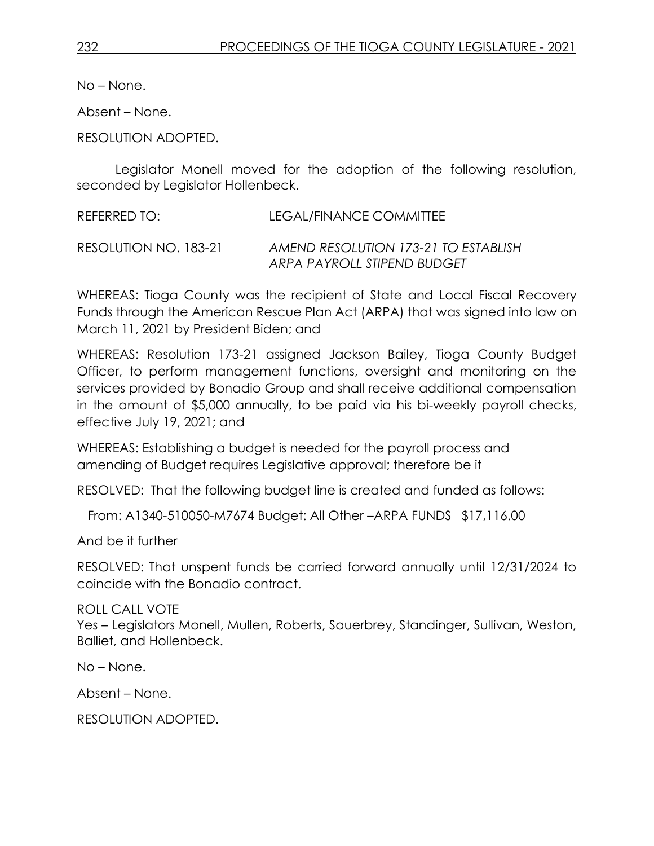No – None.

Absent – None.

RESOLUTION ADOPTED.

Legislator Monell moved for the adoption of the following resolution, seconded by Legislator Hollenbeck.

REFERRED TO: LEGAL/FINANCE COMMITTEE

RESOLUTION NO. 183-21 *AMEND RESOLUTION 173-21 TO ESTABLISH ARPA PAYROLL STIPEND BUDGET* 

WHEREAS: Tioga County was the recipient of State and Local Fiscal Recovery Funds through the American Rescue Plan Act (ARPA) that was signed into law on March 11, 2021 by President Biden; and

WHEREAS: Resolution 173-21 assigned Jackson Bailey, Tioga County Budget Officer, to perform management functions, oversight and monitoring on the services provided by Bonadio Group and shall receive additional compensation in the amount of \$5,000 annually, to be paid via his bi-weekly payroll checks, effective July 19, 2021; and

WHEREAS: Establishing a budget is needed for the payroll process and amending of Budget requires Legislative approval; therefore be it

RESOLVED: That the following budget line is created and funded as follows:

From: A1340-510050-M7674 Budget: All Other –ARPA FUNDS \$17,116.00

And be it further

RESOLVED: That unspent funds be carried forward annually until 12/31/2024 to coincide with the Bonadio contract.

ROLL CALL VOTE

Yes – Legislators Monell, Mullen, Roberts, Sauerbrey, Standinger, Sullivan, Weston, Balliet, and Hollenbeck.

No – None.

Absent – None.

RESOLUTION ADOPTED.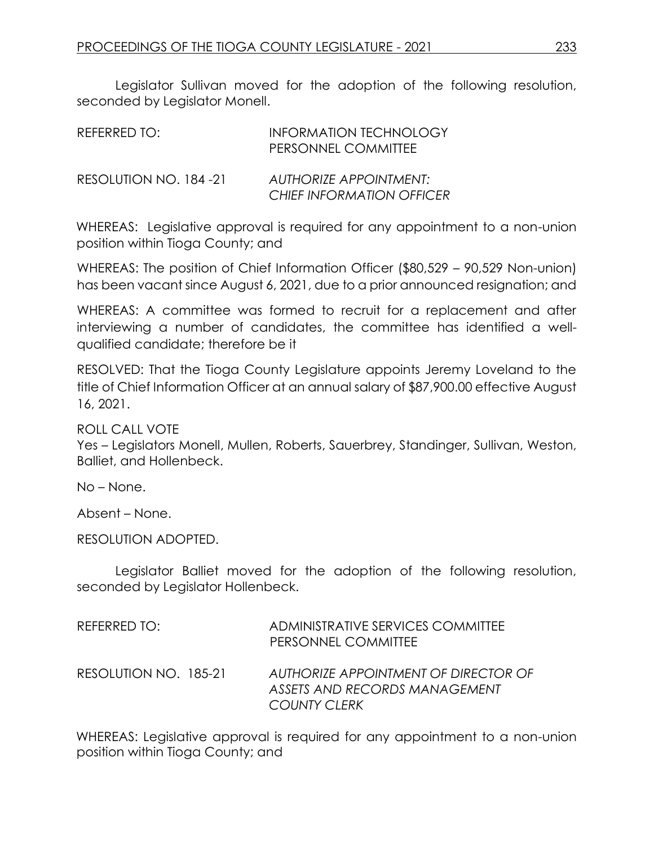Legislator Sullivan moved for the adoption of the following resolution, seconded by Legislator Monell.

| REFERRED TO:           | INFORMATION TECHNOLOGY<br>PERSONNEL COMMITTEE                     |
|------------------------|-------------------------------------------------------------------|
| RESOLUTION NO. 184 -21 | <b>AUTHORIZE APPOINTMENT:</b><br><b>CHIEF INFORMATION OFFICER</b> |

WHEREAS: Legislative approval is required for any appointment to a non-union position within Tioga County; and

WHEREAS: The position of Chief Information Officer (\$80,529 – 90,529 Non-union) has been vacant since August 6, 2021, due to a prior announced resignation; and

WHEREAS: A committee was formed to recruit for a replacement and after interviewing a number of candidates, the committee has identified a wellqualified candidate; therefore be it

RESOLVED: That the Tioga County Legislature appoints Jeremy Loveland to the title of Chief Information Officer at an annual salary of \$87,900.00 effective August 16, 2021.

ROLL CALL VOTE

Yes – Legislators Monell, Mullen, Roberts, Sauerbrey, Standinger, Sullivan, Weston, Balliet, and Hollenbeck.

No – None.

Absent – None.

RESOLUTION ADOPTED.

Legislator Balliet moved for the adoption of the following resolution, seconded by Legislator Hollenbeck.

| REFERRED TO:          | ADMINISTRATIVE SERVICES COMMITTEE<br>PERSONNEL COMMITTEE                              |
|-----------------------|---------------------------------------------------------------------------------------|
| RESOLUTION NO. 185-21 | AUTHORIZE APPOINTMENT OF DIRECTOR OF<br>ASSETS AND RECORDS MANAGEMENT<br>COUNTY CLERK |

WHEREAS: Legislative approval is required for any appointment to a non-union position within Tioga County; and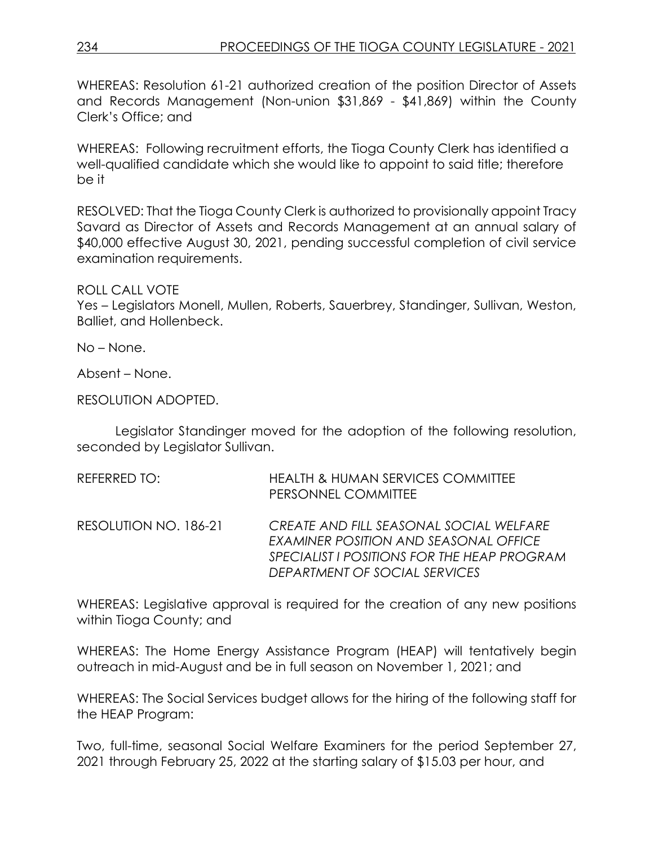WHEREAS: Resolution 61-21 authorized creation of the position Director of Assets and Records Management (Non-union \$31,869 - \$41,869) within the County Clerk's Office; and

WHEREAS: Following recruitment efforts, the Tioga County Clerk has identified a well-qualified candidate which she would like to appoint to said title; therefore be it

RESOLVED: That the Tioga County Clerk is authorized to provisionally appoint Tracy Savard as Director of Assets and Records Management at an annual salary of \$40,000 effective August 30, 2021, pending successful completion of civil service examination requirements.

ROLL CALL VOTE

Yes – Legislators Monell, Mullen, Roberts, Sauerbrey, Standinger, Sullivan, Weston, Balliet, and Hollenbeck.

No – None.

Absent – None.

RESOLUTION ADOPTED.

Legislator Standinger moved for the adoption of the following resolution, seconded by Legislator Sullivan.

| REFERRED TO:          | <b>HEALTH &amp; HUMAN SERVICES COMMITTEE</b><br>PERSONNEL COMMITTEE                                                                                              |
|-----------------------|------------------------------------------------------------------------------------------------------------------------------------------------------------------|
| RESOLUTION NO. 186-21 | CREATE AND FILL SEASONAL SOCIAL WELFARE<br>EXAMINER POSITION AND SEASONAL OFFICE<br>SPECIALIST I POSITIONS FOR THE HEAP PROGRAM<br>DEPARTMENT OF SOCIAL SERVICES |

WHEREAS: Legislative approval is required for the creation of any new positions within Tioga County; and

WHEREAS: The Home Energy Assistance Program (HEAP) will tentatively begin outreach in mid-August and be in full season on November 1, 2021; and

WHEREAS: The Social Services budget allows for the hiring of the following staff for the HEAP Program:

Two, full-time, seasonal Social Welfare Examiners for the period September 27, 2021 through February 25, 2022 at the starting salary of \$15.03 per hour, and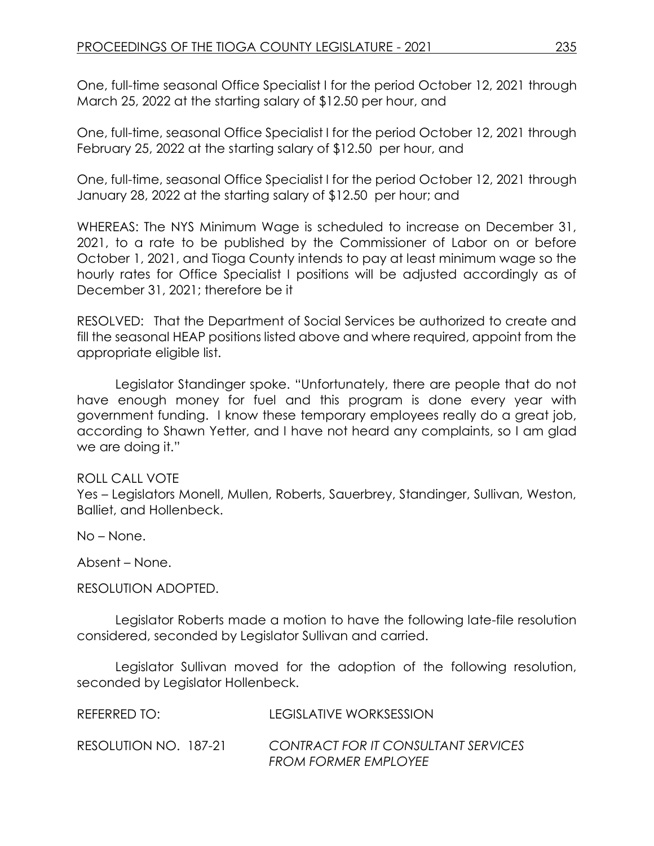One, full-time seasonal Office Specialist I for the period October 12, 2021 through March 25, 2022 at the starting salary of \$12.50 per hour, and

One, full-time, seasonal Office Specialist I for the period October 12, 2021 through February 25, 2022 at the starting salary of \$12.50 per hour, and

One, full-time, seasonal Office Specialist I for the period October 12, 2021 through January 28, 2022 at the starting salary of \$12.50 per hour; and

WHEREAS: The NYS Minimum Wage is scheduled to increase on December 31, 2021, to a rate to be published by the Commissioner of Labor on or before October 1, 2021, and Tioga County intends to pay at least minimum wage so the hourly rates for Office Specialist I positions will be adjusted accordingly as of December 31, 2021; therefore be it

RESOLVED: That the Department of Social Services be authorized to create and fill the seasonal HEAP positions listed above and where required, appoint from the appropriate eligible list.

Legislator Standinger spoke. "Unfortunately, there are people that do not have enough money for fuel and this program is done every year with government funding. I know these temporary employees really do a great job, according to Shawn Yetter, and I have not heard any complaints, so I am glad we are doing it."

ROLL CALL VOTE

Yes – Legislators Monell, Mullen, Roberts, Sauerbrey, Standinger, Sullivan, Weston, Balliet, and Hollenbeck.

No – None.

Absent – None.

RESOLUTION ADOPTED.

Legislator Roberts made a motion to have the following late-file resolution considered, seconded by Legislator Sullivan and carried.

Legislator Sullivan moved for the adoption of the following resolution, seconded by Legislator Hollenbeck.

| REFERRED TO:          | LEGISLATIVE WORKSESSION                                            |
|-----------------------|--------------------------------------------------------------------|
| RESOLUTION NO. 187-21 | CONTRACT FOR IT CONSULTANT SERVICES<br><b>FROM FORMER EMPLOYEE</b> |